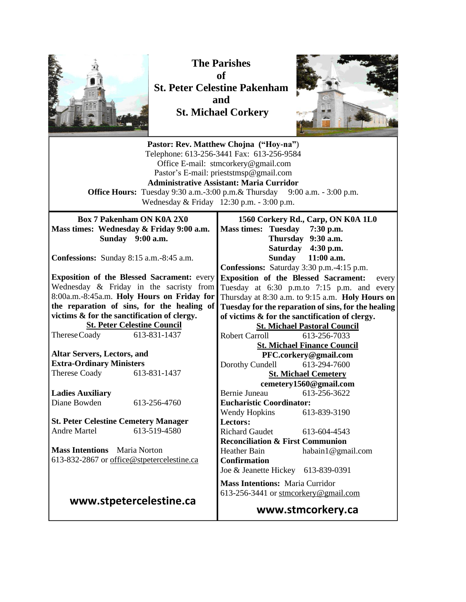

**The Parishes of St. Peter Celestine Pakenham and St. Michael Corkery**



| Pastor: Rev. Matthew Chojna ("Hoy-na")<br>Telephone: 613-256-3441 Fax: 613-256-9584<br>Office E-mail: stmcorkery@gmail.com<br>Pastor's E-mail: prieststmsp@gmail.com<br><b>Administrative Assistant: Maria Curridor</b><br><b>Office Hours:</b> Tuesday 9:30 a.m.-3:00 p.m.& Thursday 9:00 a.m. - 3:00 p.m.<br>Wednesday & Friday 12:30 p.m. - 3:00 p.m. |                                                                                                                                                                                                                                                                                                        |  |  |  |
|----------------------------------------------------------------------------------------------------------------------------------------------------------------------------------------------------------------------------------------------------------------------------------------------------------------------------------------------------------|--------------------------------------------------------------------------------------------------------------------------------------------------------------------------------------------------------------------------------------------------------------------------------------------------------|--|--|--|
| <b>Box 7 Pakenham ON K0A 2X0</b><br>Mass times: Wednesday & Friday 9:00 a.m.<br>Sunday 9:00 a.m.                                                                                                                                                                                                                                                         | 1560 Corkery Rd., Carp, ON K0A 1L0<br><b>Mass times: Tuesday</b><br>7:30 p.m.<br>Thursday 9:30 a.m.                                                                                                                                                                                                    |  |  |  |
| Confessions: Sunday 8:15 a.m.-8:45 a.m.                                                                                                                                                                                                                                                                                                                  | Saturday 4:30 p.m.<br>Sunday<br>$11:00$ a.m.<br>Confessions: Saturday 3:30 p.m.-4:15 p.m.                                                                                                                                                                                                              |  |  |  |
| <b>Exposition of the Blessed Sacrament: every</b><br>Wednesday & Friday in the sacristy from<br>8:00a.m.-8:45a.m. Holy Hours on Friday for<br>the reparation of sins, for the healing of<br>victims & for the sanctification of clergy.<br><b>St. Peter Celestine Council</b>                                                                            | <b>Exposition of the Blessed Sacrament:</b><br>every<br>Tuesday at 6:30 p.m.to 7:15 p.m. and every<br>Thursday at 8:30 a.m. to 9:15 a.m. Holy Hours on<br>Tuesday for the reparation of sins, for the healing<br>of victims & for the sanctification of clergy.<br><b>St. Michael Pastoral Council</b> |  |  |  |
| Therese Coady<br>613-831-1437                                                                                                                                                                                                                                                                                                                            | <b>Robert Carroll</b><br>613-256-7033                                                                                                                                                                                                                                                                  |  |  |  |
| <b>Altar Servers, Lectors, and</b>                                                                                                                                                                                                                                                                                                                       | <b>St. Michael Finance Council</b><br>PFC.corkery@gmail.com                                                                                                                                                                                                                                            |  |  |  |
| <b>Extra-Ordinary Ministers</b>                                                                                                                                                                                                                                                                                                                          | Dorothy Cundell<br>613-294-7600                                                                                                                                                                                                                                                                        |  |  |  |
| 613-831-1437<br>Therese Coady                                                                                                                                                                                                                                                                                                                            | <b>St. Michael Cemetery</b><br>cemetery1560@gmail.com                                                                                                                                                                                                                                                  |  |  |  |
| <b>Ladies Auxiliary</b>                                                                                                                                                                                                                                                                                                                                  | <b>Bernie Juneau</b><br>613-256-3622                                                                                                                                                                                                                                                                   |  |  |  |
| Diane Bowden<br>613-256-4760                                                                                                                                                                                                                                                                                                                             | <b>Eucharistic Coordinator:</b>                                                                                                                                                                                                                                                                        |  |  |  |
| <b>St. Peter Celestine Cemetery Manager</b>                                                                                                                                                                                                                                                                                                              | <b>Wendy Hopkins</b><br>613-839-3190<br>Lectors:                                                                                                                                                                                                                                                       |  |  |  |
| <b>Andre Martel</b><br>613-519-4580                                                                                                                                                                                                                                                                                                                      | <b>Richard Gaudet</b><br>613-604-4543                                                                                                                                                                                                                                                                  |  |  |  |
| <b>Mass Intentions</b> Maria Norton                                                                                                                                                                                                                                                                                                                      | <b>Reconciliation &amp; First Communion</b><br><b>Heather Bain</b><br>habain1@gmail.com                                                                                                                                                                                                                |  |  |  |
| 613-832-2867 or office@stpetercelestine.ca                                                                                                                                                                                                                                                                                                               | <b>Confirmation</b>                                                                                                                                                                                                                                                                                    |  |  |  |
|                                                                                                                                                                                                                                                                                                                                                          | Joe & Jeanette Hickey 613-839-0391                                                                                                                                                                                                                                                                     |  |  |  |
|                                                                                                                                                                                                                                                                                                                                                          | <b>Mass Intentions: Maria Curridor</b><br>613-256-3441 or stmcorkery@gmail.com                                                                                                                                                                                                                         |  |  |  |
| www.stpetercelestine.ca                                                                                                                                                                                                                                                                                                                                  | www.stmcorkery.ca                                                                                                                                                                                                                                                                                      |  |  |  |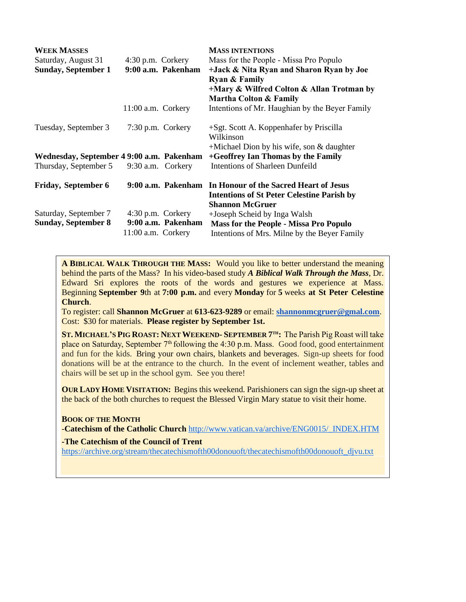| <b>WEEK MASSES</b>                        |                     |                    | <b>MASS INTENTIONS</b>                               |
|-------------------------------------------|---------------------|--------------------|------------------------------------------------------|
| Saturday, August 31                       | $4:30$ p.m. Corkery |                    | Mass for the People - Missa Pro Populo               |
| <b>Sunday, September 1</b>                |                     | 9:00 a.m. Pakenham | +Jack & Nita Ryan and Sharon Ryan by Joe             |
|                                           |                     |                    | <b>Ryan &amp; Family</b>                             |
|                                           |                     |                    | +Mary & Wilfred Colton & Allan Trotman by            |
|                                           |                     |                    | <b>Martha Colton &amp; Family</b>                    |
|                                           | 11:00 a.m. Corkery  |                    | Intentions of Mr. Haughian by the Beyer Family       |
| Tuesday, September 3                      | 7:30 p.m. Corkery   |                    | +Sgt. Scott A. Koppenhafer by Priscilla<br>Wilkinson |
|                                           |                     |                    | $+$ Michael Dion by his wife, son & daughter         |
| Wednesday, September 4 9:00 a.m. Pakenham |                     |                    | +Geoffrey Ian Thomas by the Family                   |
| Thursday, September 5                     | 9:30 a.m. Corkery   |                    | <b>Intentions of Sharleen Dunfeild</b>               |
| <b>Friday, September 6</b>                |                     | 9:00 a.m. Pakenham | In Honour of the Sacred Heart of Jesus               |
|                                           |                     |                    | <b>Intentions of St Peter Celestine Parish by</b>    |
|                                           |                     |                    | <b>Shannon McGruer</b>                               |
| Saturday, September 7                     | $4:30$ p.m. Corkery |                    | +Joseph Scheid by Inga Walsh                         |
| <b>Sunday, September 8</b>                |                     | 9:00 a.m. Pakenham | <b>Mass for the People - Missa Pro Populo</b>        |
|                                           | 11:00 a.m. Corkery  |                    | Intentions of Mrs. Milne by the Beyer Family         |

**A BIBLICAL WALK THROUGH THE MASS:** Would you like to better understand the meaning behind the parts of the Mass? In his video-based study *A Biblical Walk Through the Mass*, Dr. Edward Sri explores the roots of the words and gestures we experience at Mass. Beginning **September 9**th at **7:00 p.m.** and every **Monday** for **5** weeks **at St Peter Celestine Church**.

To register: call **Shannon McGruer** at **613-623-9289** or email: **[shannonmcgruer@gmal.com](mailto:shannonmcgruer@gmal.com)**. Cost: \$30 for materials. **Please register by September 1st.**

ST. MICHAEL'S PIG ROAST: NEXT WEEKEND- SEPTEMBER 7<sup>TH</sup>: The Parish Pig Roast will take place on Saturday, September 7<sup>th</sup> following the 4:30 p.m. Mass. Good food, good entertainment and fun for the kids. Bring your own chairs, blankets and beverages. Sign-up sheets for food donations will be at the entrance to the church. In the event of inclement weather, tables and chairs will be set up in the school gym. See you there!

**OUR LADY HOME VISITATION:** Begins this weekend. Parishioners can sign the sign-up sheet at the back of the both churches to request the Blessed Virgin Mary statue to visit their home.

## **BOOK OF THE MONTH**

-**Catechism of the Catholic Church** [http://www.vatican.va/archive/ENG0015/\\_INDEX.HTM](http://www.vatican.va/archive/ENG0015/_INDEX.HTM)

## **-The Catechism of the Council of Trent**

[https://archive.org/stream/thecatechismofth00donouoft/thecatechismofth00donouoft\\_djvu.txt](https://archive.org/stream/thecatechismofth00donouoft/thecatechismofth00donouoft_djvu.txt)